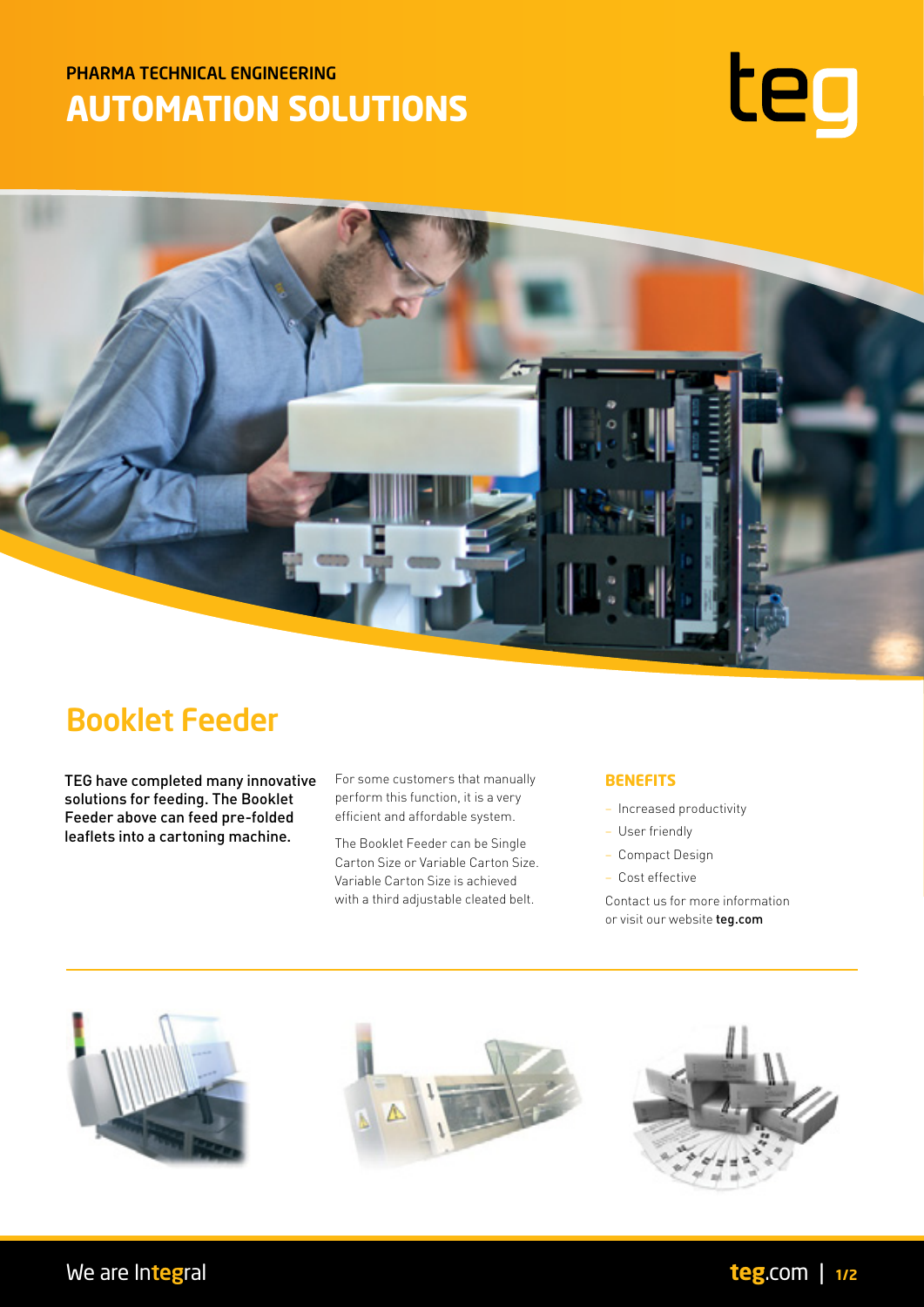## PHARMA TECHNICAL ENGINEERING **AUTOMATION SOLUTIONS**





# Booklet Feeder

TEG have completed many innovative solutions for feeding. The Booklet Feeder above can feed pre-folded leaflets into a cartoning machine.

For some customers that manually perform this function, it is a very efficient and affordable system.

The Booklet Feeder can be Single Carton Size or Variable Carton Size. Variable Carton Size is achieved with a third adjustable cleated belt.

## **BENEFITS**

- Increased productivity
- User friendly
- Compact Design
- Cost effective

Contact us for more information or visit our website teg.com